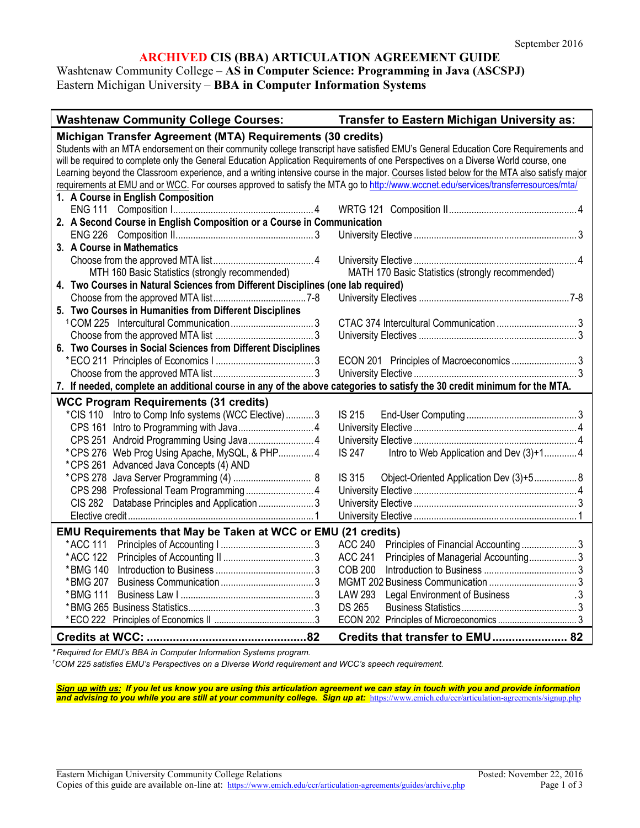### **ARCHIVED CIS (BBA) ARTICULATION AGREEMENT GUIDE**

Washtenaw Community College – **AS in Computer Science: Programming in Java (ASCSPJ)** Eastern Michigan University – **BBA in Computer Information Systems**

| <b>Washtenaw Community College Courses:</b>                                                                                                | Transfer to Eastern Michigan University as:                         |
|--------------------------------------------------------------------------------------------------------------------------------------------|---------------------------------------------------------------------|
| Michigan Transfer Agreement (MTA) Requirements (30 credits)                                                                                |                                                                     |
| Students with an MTA endorsement on their community college transcript have satisfied EMU's General Education Core Requirements and        |                                                                     |
| will be required to complete only the General Education Application Requirements of one Perspectives on a Diverse World course, one        |                                                                     |
| Learning beyond the Classroom experience, and a writing intensive course in the major. Courses listed below for the MTA also satisfy major |                                                                     |
| requirements at EMU and or WCC. For courses approved to satisfy the MTA go to http://www.wccnet.edu/services/transferresources/mta/        |                                                                     |
| 1. A Course in English Composition                                                                                                         |                                                                     |
|                                                                                                                                            |                                                                     |
| 2. A Second Course in English Composition or a Course in Communication                                                                     |                                                                     |
|                                                                                                                                            |                                                                     |
| 3. A Course in Mathematics                                                                                                                 |                                                                     |
|                                                                                                                                            |                                                                     |
| MTH 160 Basic Statistics (strongly recommended)                                                                                            | MATH 170 Basic Statistics (strongly recommended)                    |
| 4. Two Courses in Natural Sciences from Different Disciplines (one lab required)                                                           |                                                                     |
|                                                                                                                                            |                                                                     |
| 5. Two Courses in Humanities from Different Disciplines                                                                                    |                                                                     |
|                                                                                                                                            |                                                                     |
|                                                                                                                                            |                                                                     |
| 6. Two Courses in Social Sciences from Different Disciplines                                                                               |                                                                     |
|                                                                                                                                            |                                                                     |
|                                                                                                                                            |                                                                     |
| 7. If needed, complete an additional course in any of the above categories to satisfy the 30 credit minimum for the MTA.                   |                                                                     |
| <b>WCC Program Requirements (31 credits)</b>                                                                                               |                                                                     |
| *CIS 110 Intro to Comp Info systems (WCC Elective)3                                                                                        | <b>IS 215</b>                                                       |
|                                                                                                                                            |                                                                     |
|                                                                                                                                            |                                                                     |
| *CPS 276 Web Prog Using Apache, MySQL, & PHP 4                                                                                             | Intro to Web Application and Dev (3)+1 4<br><b>IS 247</b>           |
| *CPS 261 Advanced Java Concepts (4) AND                                                                                                    |                                                                     |
|                                                                                                                                            | Object-Oriented Application Dev (3)+5 8<br>IS 315                   |
|                                                                                                                                            |                                                                     |
|                                                                                                                                            |                                                                     |
|                                                                                                                                            |                                                                     |
| EMU Requirements that May be Taken at WCC or EMU (21 credits)                                                                              |                                                                     |
|                                                                                                                                            | <b>ACC 240</b><br>Principles of Financial Accounting3               |
|                                                                                                                                            | <b>ACC 241</b><br>Principles of Managerial Accounting 3             |
|                                                                                                                                            | <b>COB 200</b>                                                      |
|                                                                                                                                            |                                                                     |
| * BMG 111                                                                                                                                  | <b>LAW 293</b><br><b>Legal Environment of Business</b><br>$\cdot$ 3 |
|                                                                                                                                            | <b>DS 265</b>                                                       |
|                                                                                                                                            |                                                                     |
|                                                                                                                                            | Credits that transfer to EMU 82                                     |

*\* Required for EMU's BBA in Computer Information Systems program.*

*1 COM 225 satisfies EMU's Perspectives on a Diverse World requirement and WCC's speech requirement.* 

*Sign up with us: If you let us know you are using this articulation agreement we can stay in touch with you and provide information*  and advising to you while you are still at your community college. Sign up at: <https://www.emich.edu/ccr/articulation-agreements/signup.php>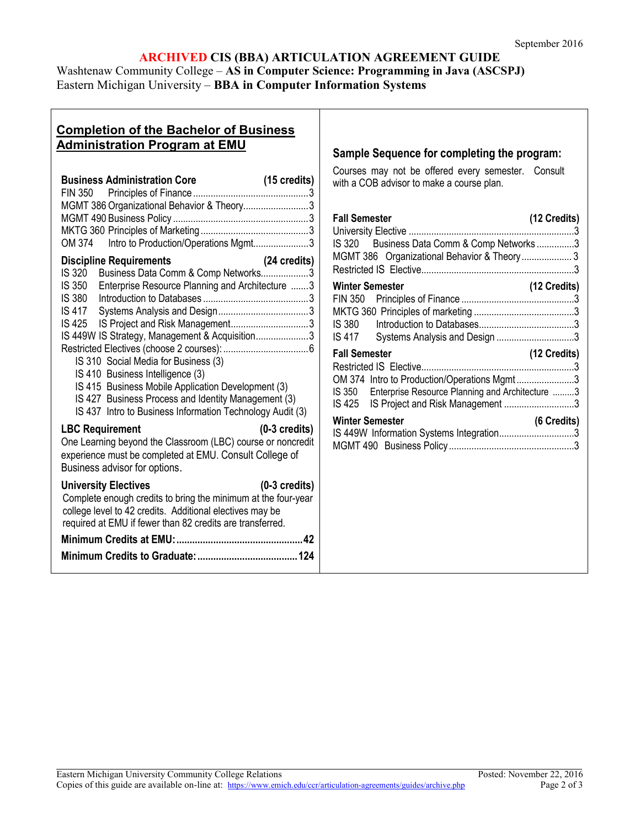# **ARCHIVED CIS (BBA) ARTICULATION AGREEMENT GUIDE**

Washtenaw Community College – **AS in Computer Science: Programming in Java (ASCSPJ)** Eastern Michigan University – **BBA in Computer Information Systems**

# **Completion of the Bachelor of Business Administration Program at EMU**

| <b>Business Administration Core</b>                                                                                                                                                                                                                                                                                                                                                                                                                                   | (15 credits)<br>3       |
|-----------------------------------------------------------------------------------------------------------------------------------------------------------------------------------------------------------------------------------------------------------------------------------------------------------------------------------------------------------------------------------------------------------------------------------------------------------------------|-------------------------|
| MGMT 386 Organizational Behavior & Theory3                                                                                                                                                                                                                                                                                                                                                                                                                            |                         |
|                                                                                                                                                                                                                                                                                                                                                                                                                                                                       |                         |
| OM 374 Intro to Production/Operations Mgmt3                                                                                                                                                                                                                                                                                                                                                                                                                           |                         |
| <b>Discipline Requirements</b><br>Business Data Comm & Comp Networks3<br>IS 320<br>IS 350 Enterprise Resource Planning and Architecture 3<br>IS 417<br>IS 425<br>IS 449W IS Strategy, Management & Acquisition3<br>IS 310 Social Media for Business (3)<br>IS 410 Business Intelligence (3)<br>IS 415 Business Mobile Application Development (3)<br>IS 427 Business Process and Identity Management (3)<br>IS 437 Intro to Business Information Technology Audit (3) | (24 credits)            |
| <b>LBC Requirement</b><br>One Learning beyond the Classroom (LBC) course or noncredit<br>experience must be completed at EMU. Consult College of<br>Business advisor for options.                                                                                                                                                                                                                                                                                     | $(0-3$ credits)         |
| <b>University Electives</b><br>Complete enough credits to bring the minimum at the four-year<br>college level to 42 credits. Additional electives may be<br>required at EMU if fewer than 82 credits are transferred.                                                                                                                                                                                                                                                 | $(0-3 \text{ credits})$ |
|                                                                                                                                                                                                                                                                                                                                                                                                                                                                       |                         |
|                                                                                                                                                                                                                                                                                                                                                                                                                                                                       |                         |

### **Sample Sequence for completing the program:**

Courses may not be offered every semester. Consult with a COB advisor to make a course plan.

| <b>Fall Semester</b>                                   | (12 Credits) |
|--------------------------------------------------------|--------------|
|                                                        |              |
| IS 320 Business Data Comm & Comp Networks3             |              |
| MGMT 386 Organizational Behavior & Theory 3            |              |
|                                                        |              |
| <b>Winter Semester</b>                                 | (12 Credits) |
|                                                        |              |
|                                                        |              |
| IS 380                                                 |              |
| Systems Analysis and Design 3<br>IS 417                |              |
|                                                        |              |
| <b>Fall Semester</b>                                   | (12 Credits) |
|                                                        |              |
| OM 374 Intro to Production/Operations Mgmt3            |              |
| IS 350 Enterprise Resource Planning and Architecture 3 |              |
| IS 425 IS Project and Risk Management 3                |              |
| <b>Winter Semester</b>                                 | (6 Credits)  |
| IS 449W Information Systems Integration3               |              |
|                                                        |              |